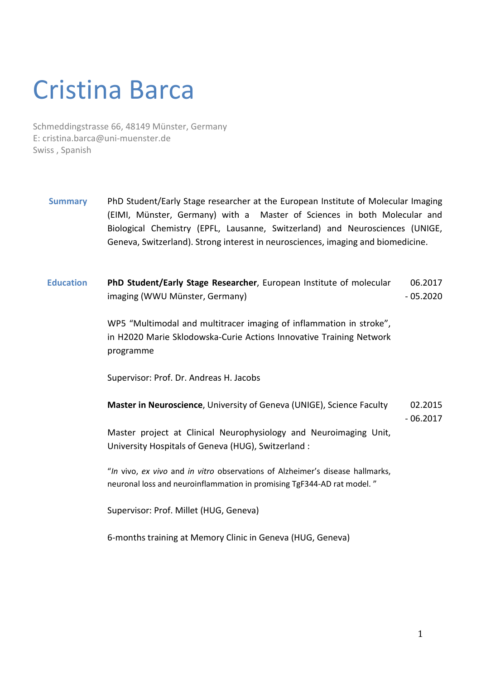## Cristina Barca

Schmeddingstrasse 66, 48149 Münster, Germany E: cristina.barca@uni-muenster.de Swiss , Spanish

- **Summary** PhD Student/Early Stage researcher at the European Institute of Molecular Imaging (EIMI, Münster, Germany) with a Master of Sciences in both Molecular and Biological Chemistry (EPFL, Lausanne, Switzerland) and Neurosciences (UNIGE, Geneva, Switzerland). Strong interest in neurosciences, imaging and biomedicine.
- **Education PhD Student/Early Stage Researcher**, European Institute of molecular imaging (WWU Münster, Germany) 06.2017 - 05.2020

WP5 "Multimodal and multitracer imaging of inflammation in stroke", in H2020 Marie Sklodowska-Curie Actions Innovative Training Network programme

Supervisor: Prof. Dr. Andreas H. Jacobs

**Master in Neuroscience**, University of Geneva (UNIGE), Science Faculty Master project at Clinical Neurophysiology and Neuroimaging Unit, University Hospitals of Geneva (HUG), Switzerland : 02.2015 - 06.2017

"*In* vivo, *ex vivo* and *in vitro* observations of Alzheimer's disease hallmarks, neuronal loss and neuroinflammation in promising TgF344-AD rat model. "

Supervisor: Prof. Millet (HUG, Geneva)

6-months training at Memory Clinic in Geneva (HUG, Geneva)